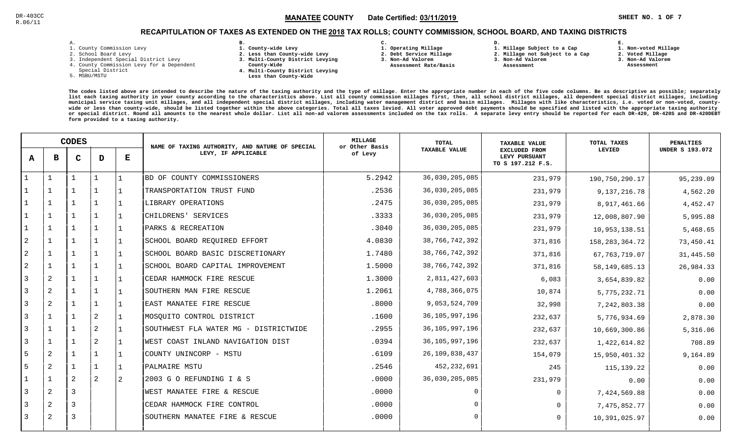**1. Non-voted Millage**

### RECAPITULATION OF TAXES AS EXTENDED ON THE <u>2018</u> TAX ROLLS; COUNTY COMMISSION, SCHOOL BOARD, AND TAXING DISTRICTS

| i. |  |  |
|----|--|--|

- 1. County Commission Levy
- 2. School Board Levy
- 3. Independent Special District Levy
- 4. County Commission Levy for a Dependent
- Special District
- 5. MSBU/MSTU
- **B. 1. County-wide Levy**
- **2. Less than County-wide Levy**
- **3. Multi-County District Levying**
- **County-Wide** 
	- **4. Multi-County District Levying Less than County-Wide**
- **C.**
- **1. Operating Millage**
- **2. Debt Service Millage 3. Non-Ad Valorem**
- **Assessment Rate/Basis**
- **2. Millage not Subject to a Cap3. Non-Ad Valorem**

**D.** 

 **Assessment** 

**1. Millage Subject to a Cap**

- 
- **2. Voted Millage3. Non-Ad Valorem**

**E.**

 **Assessment**

|                | <b>CODES</b>   |                |              | NAME OF TAXING AUTHORITY, AND NATURE OF SPECIAL | <b>MILLAGE</b><br>or Other Basis      | <b>TOTAL</b> | TAXABLE VALUE        | TOTAL TAXES                                                | <b>PENALTIES</b>  |                        |
|----------------|----------------|----------------|--------------|-------------------------------------------------|---------------------------------------|--------------|----------------------|------------------------------------------------------------|-------------------|------------------------|
| A              | в              | C              | D            | Е                                               | LEVY, IF APPLICABLE                   | of Levy      | <b>TAXABLE VALUE</b> | <b>EXCLUDED FROM</b><br>LEVY PURSUANT<br>TO S 197.212 F.S. | LEVIED            | <b>UNDER S 193.072</b> |
| $\mathbf{1}$   | $\mathbf{1}$   | 1              | $\mathbf{1}$ |                                                 | BD OF COUNTY COMMISSIONERS            | 5.2942       | 36,030,205,085       | 231,979                                                    | 190,750,290.17    | 95,239.09              |
|                |                |                |              |                                                 | TRANSPORTATION TRUST FUND             | .2536        | 36,030,205,085       | 231,979                                                    | 9,137,216.78      | 4,562.20               |
|                |                | 1              | 1            |                                                 | LIBRARY OPERATIONS                    | .2475        | 36,030,205,085       | 231,979                                                    | 8,917,461.66      | 4,452.47               |
| 1              | 1              | $\mathbf{1}$   | 1            |                                                 | CHILDRENS' SERVICES                   | .3333        | 36,030,205,085       | 231,979                                                    | 12,008,807.90     | 5,995.88               |
| $\mathbf{1}$   | $\mathbf{1}$   | $\mathbf{1}$   | $\mathbf{1}$ |                                                 | PARKS & RECREATION                    | .3040        | 36,030,205,085       | 231,979                                                    | 10,953,138.51     | 5,468.65               |
| $\overline{c}$ | $\mathbf{1}$   | $\mathbf{1}$   | 1            |                                                 | SCHOOL BOARD REQUIRED EFFORT          | 4.0830       | 38,766,742,392       | 371,816                                                    | 158, 283, 364. 72 | 73,450.41              |
| $\overline{c}$ | $\overline{1}$ |                | 1            |                                                 | SCHOOL BOARD BASIC DISCRETIONARY      | 1.7480       | 38,766,742,392       | 371,816                                                    | 67, 763, 719.07   | 31,445.50              |
| $\overline{c}$ |                |                |              |                                                 | SCHOOL BOARD CAPITAL IMPROVEMENT      | 1.5000       | 38, 766, 742, 392    | 371,816                                                    | 58, 149, 685. 13  | 26,984.33              |
| 3              | $\overline{2}$ |                | 1            |                                                 | CEDAR HAMMOCK FIRE RESCUE             | 1.3000       | 2,811,427,603        | 6,083                                                      | 3,654,839.82      | 0.00                   |
| 3              | $\overline{2}$ |                | 1            |                                                 | SOUTHERN MAN FIRE RESCUE              | 1.2061       | 4,788,366,075        | 10,874                                                     | 5,775,232.71      | 0.00                   |
| 3              | 2              | 1              | 1            |                                                 | EAST MANATEE FIRE RESCUE              | .8000        | 9,053,524,709        | 32,998                                                     | 7,242,803.38      | 0.00                   |
| $\overline{3}$ | $\mathbf{1}$   | $\mathbf{1}$   | $\sqrt{2}$   |                                                 | MOSQUITO CONTROL DISTRICT             | .1600        | 36, 105, 997, 196    | 232,637                                                    | 5,776,934.69      | 2,878.30               |
| 3              | $\mathbf{1}$   | $\mathbf{1}$   | 2            |                                                 | SOUTHWEST FLA WATER MG - DISTRICTWIDE | .2955        | 36, 105, 997, 196    | 232,637                                                    | 10,669,300.86     | 5,316.06               |
| 3              |                |                | $\mathbf{2}$ |                                                 | WEST COAST INLAND NAVIGATION DIST     | .0394        | 36, 105, 997, 196    | 232,637                                                    | 1,422,614.82      | 708.89                 |
| 5              | $\overline{2}$ |                |              |                                                 | COUNTY UNINCORP - MSTU                | .6109        | 26,109,838,437       | 154,079                                                    | 15,950,401.32     | 9,164.89               |
| 5              | $\overline{2}$ |                | 1            |                                                 | PALMAIRE MSTU                         | .2546        | 452,232,691          | 245                                                        | 115,139.22        | 0.00                   |
| 1              | $\mathbf{1}$   | 2              | 2            | 2                                               | 2003 G O REFUNDING I & S              | .0000        | 36,030,205,085       | 231,979                                                    | 0.00              | 0.00                   |
| 3              | 2              | $\overline{3}$ |              |                                                 | WEST MANATEE FIRE & RESCUE            | .0000        |                      | $\Omega$                                                   | 7,424,569.88      | 0.00                   |
| 3              | 2              | $\overline{3}$ |              |                                                 | CEDAR HAMMOCK FIRE CONTROL            | .0000        | $\Omega$             | $\Omega$                                                   | 7,475,852.77      | 0.00                   |
| 3              | 2              | 3              |              |                                                 | SOUTHERN MANATEE FIRE & RESCUE        | .0000        | $\Omega$             | $\Omega$                                                   | 10,391,025.97     | 0.00                   |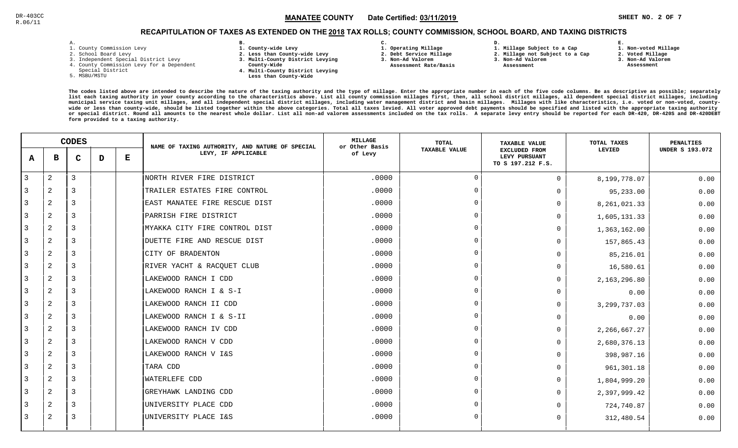## RECAPITULATION OF TAXES AS EXTENDED ON THE <u>2018</u> TAX ROLLS; COUNTY COMMISSION, SCHOOL BOARD, AND TAXING DISTRICTS

| <b>-</b> | ۰ |  |  |
|----------|---|--|--|

- 1. County Commission Levy
- 2. School Board Levy
- 3. Independent Special District Levy
- 4. County Commission Levy for a Dependent
- Special District
- 5. MSBU/MSTU
- **B. 1. County-wide Levy**
- **2. Less than County-wide Levy**
- **3. Multi-County District Levying**
- **County-Wide** 
	- **4. Multi-County District Levying Less than County-Wide**
- **C.**
- **1. Operating Millage**
- **2. Debt Service Millage**
- **3. Non-Ad Valorem Assessment Rate/Basis**
- **2. Millage not Subject to a Cap**

**D.** 

- **3. Non-Ad Valorem**
	- **Assessment**

**1. Millage Subject to a Cap**

 **1. Non-voted Millage2. Voted Millage**

**E.**

- **3. Non-Ad Valorem**
- **Assessment**
- 

|              | <b>CODES</b>   |              |   | NAME OF TAXING AUTHORITY, AND NATURE OF SPECIAL | <b>MILLAGE</b><br>or Other Basis | <b>TOTAL</b> | <b>TAXABLE VALUE</b> | TOTAL TAXES                                                | <b>PENALTIES</b> |                        |
|--------------|----------------|--------------|---|-------------------------------------------------|----------------------------------|--------------|----------------------|------------------------------------------------------------|------------------|------------------------|
| $\mathbf{A}$ | в              | $\mathbf{C}$ | D | Е                                               | LEVY, IF APPLICABLE              | of Levy      | <b>TAXABLE VALUE</b> | <b>EXCLUDED FROM</b><br>LEVY PURSUANT<br>TO S 197.212 F.S. | LEVIED           | <b>UNDER S 193.072</b> |
| 3            | $\mathbf{2}$   | 3            |   |                                                 | NORTH RIVER FIRE DISTRICT        | .0000        | $\Omega$             | $\Omega$                                                   | 8,199,778.07     | 0.00                   |
| 3            | 2              | 3            |   |                                                 | TRAILER ESTATES FIRE CONTROL     | .0000        | $\Omega$             | 0                                                          | 95,233.00        | 0.00                   |
| 3            | 2              | 3            |   |                                                 | EAST MANATEE FIRE RESCUE DIST    | .0000        | $\Omega$             | 0                                                          | 8, 261, 021.33   | 0.00                   |
| 3            | 2              | 3            |   |                                                 | PARRISH FIRE DISTRICT            | .0000        | $\Omega$             | 0                                                          | 1,605,131.33     | 0.00                   |
| 3            | 2              | 3            |   |                                                 | MYAKKA CITY FIRE CONTROL DIST    | .0000        | $\Omega$             | 0                                                          | 1,363,162.00     | 0.00                   |
| 3            | 2              | 3            |   |                                                 | DUETTE FIRE AND RESCUE DIST      | .0000        | $\Omega$             | 0                                                          | 157,865.43       | 0.00                   |
| 3            | 2              | 3            |   |                                                 | CITY OF BRADENTON                | .0000        | $\Omega$             | 0                                                          | 85,216.01        | 0.00                   |
| 3            | 2              | 3            |   |                                                 | RIVER YACHT & RACQUET CLUB       | .0000        | $\cap$               | 0                                                          | 16,580.61        | 0.00                   |
| 3            | 2              | 3            |   |                                                 | LAKEWOOD RANCH I CDD             | .0000        | $\Omega$             | $\Omega$                                                   | 2,163,296.80     | 0.00                   |
| 3            | 2              | 3            |   |                                                 | LAKEWOOD RANCH I & S-I           | .0000        | $\Omega$             | 0                                                          | 0.00             | 0.00                   |
| 3            | 2              | 3            |   |                                                 | LAKEWOOD RANCH II CDD            | .0000        | $\overline{0}$       | 0                                                          | 3, 299, 737.03   | 0.00                   |
| 3            | 2              | 3            |   |                                                 | LAKEWOOD RANCH I & S-II          | .0000        | $\Omega$             | 0                                                          | 0.00             | 0.00                   |
| 3            | 2              | 3            |   |                                                 | LAKEWOOD RANCH IV CDD            | .0000        | $\Omega$             | U                                                          | 2, 266, 667.27   | 0.00                   |
| 3            | 2              | 3            |   |                                                 | LAKEWOOD RANCH V CDD             | .0000        | $\Omega$             | $\Omega$                                                   | 2,680,376.13     | 0.00                   |
| 3            | $\overline{a}$ | 3            |   |                                                 | LAKEWOOD RANCH V I&S             | .0000        | $\Omega$             | U                                                          | 398,987.16       | 0.00                   |
| 3            | 2              | 3            |   |                                                 | TARA CDD                         | .0000        | $\Omega$             | $\Omega$                                                   | 961,301.18       | 0.00                   |
| 3            | 2              | 3            |   |                                                 | <b>WATERLEFE CDD</b>             | .0000        | $\Omega$             | $\Omega$                                                   | 1,804,999.20     | 0.00                   |
| 3            | 2              | 3            |   |                                                 | GREYHAWK LANDING CDD             | .0000        | $\Omega$             | 0                                                          | 2,397,999.42     | 0.00                   |
| 3            | 2              | 3            |   |                                                 | UNIVERSITY PLACE CDD             | .0000        | $\Omega$             | 0                                                          | 724,740.87       | 0.00                   |
| 3            | 2              | 3            |   |                                                 | UNIVERSITY PLACE I&S             | .0000        | $\Omega$             | 0                                                          | 312,480.54       | 0.00                   |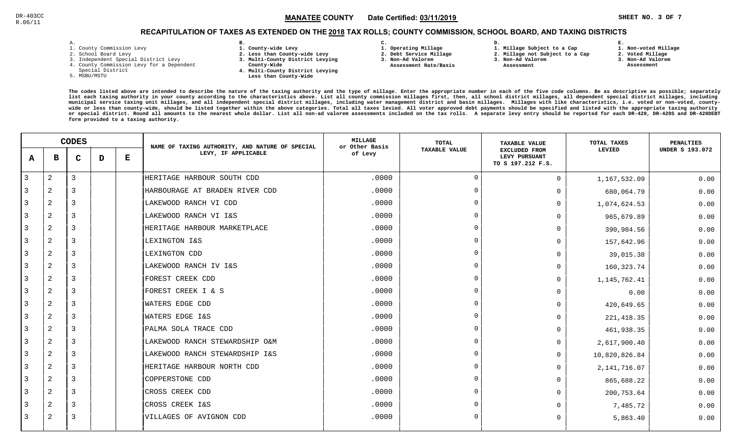**1. Non-voted Millage**

## RECAPITULATION OF TAXES AS EXTENDED ON THE <u>2018</u> TAX ROLLS; COUNTY COMMISSION, SCHOOL BOARD, AND TAXING DISTRICTS

| ۰ |  |  |
|---|--|--|

- 1. County Commission Levy
- 2. School Board Levy
- 3. Independent Special District Levy
- 4. County Commission Levy for a Dependent
- Special District
- 5. MSBU/MSTU
- **B. 1. County-wide Levy**
- **2. Less than County-wide Levy**
- **3. Multi-County District Levying**
- **County-Wide** 
	- **4. Multi-County District Levying Less than County-Wide**
- **C. 3. Non-Ad Valorem**

**2. Debt Service Millage** 

 **Assessment Rate/Basis**

- **1. Operating Millage**
- **1. Millage Subject to a Cap**

**D.** 

- **2. Millage not Subject to a Cap3. Non-Ad Valorem**
	- **Assessment**
- 
- **3. Non-Ad Valorem**

**E.**

**2. Voted Millage Assessment**

|               | <b>CODES</b>   |                |   | NAME OF TAXING AUTHORITY, AND NATURE OF SPECIAL | <b>MILLAGE</b><br>or Other Basis | <b>TOTAL</b> | <b>TAXABLE VALUE</b> | <b>TOTAL TAXES</b>                                         | <b>PENALTIES</b> |                        |
|---------------|----------------|----------------|---|-------------------------------------------------|----------------------------------|--------------|----------------------|------------------------------------------------------------|------------------|------------------------|
| A             | в              | C              | D | $\bf E$                                         | LEVY, IF APPLICABLE              | of Levy      | <b>TAXABLE VALUE</b> | <b>EXCLUDED FROM</b><br>LEVY PURSUANT<br>TO S 197.212 F.S. | LEVIED           | <b>UNDER S 193.072</b> |
| $\mathbf{3}$  | $\overline{2}$ | 3              |   |                                                 | HERITAGE HARBOUR SOUTH CDD       | .0000        | $\overline{0}$       | $\Omega$                                                   | 1,167,532.09     | 0.00                   |
| $\mathcal{R}$ | $\overline{2}$ | 3              |   |                                                 | HARBOURAGE AT BRADEN RIVER CDD   | .0000        | $\Omega$             | $\Omega$                                                   | 680,064.79       | 0.00                   |
| 3             | $\overline{2}$ | 3              |   |                                                 | LAKEWOOD RANCH VI CDD            | .0000        | $\Omega$             | $\Omega$                                                   | 1,074,624.53     | 0.00                   |
| 3             | 2              | 3              |   |                                                 | LAKEWOOD RANCH VI I&S            | .0000        | $\Omega$             | $\Omega$                                                   | 965,679.89       | 0.00                   |
| 3             | 2              | $\overline{3}$ |   |                                                 | HERITAGE HARBOUR MARKETPLACE     | .0000        | $\Omega$             | 0                                                          | 390,984.56       | 0.00                   |
| 3             | $\overline{a}$ | 3              |   |                                                 | LEXINGTON I&S                    | .0000        | $\Omega$             | $\Omega$                                                   | 157,642.96       | 0.00                   |
| 3             | $\overline{a}$ | 3              |   |                                                 | LEXINGTON CDD                    | .0000        | $\Omega$             | 0                                                          | 39,015.38        | 0.00                   |
| 3             | $\overline{2}$ | 3              |   |                                                 | LAKEWOOD RANCH IV I&S            | .0000        | $\cap$               | $\Omega$                                                   | 160,323.74       | 0.00                   |
| 3             | $\overline{2}$ | 3              |   |                                                 | FOREST CREEK CDD                 | .0000        | $\Omega$             | $\Omega$                                                   | 1,145,762.41     | 0.00                   |
| 3             | $\overline{a}$ | 3              |   |                                                 | FOREST CREEK I & S               | .0000        | $\cap$               | $\Omega$                                                   | 0.00             | 0.00                   |
| 3             | 2              | $\overline{3}$ |   |                                                 | WATERS EDGE CDD                  | .0000        | $\Omega$             | 0                                                          | 420,649.65       | 0.00                   |
| 3             | $\overline{c}$ | 3              |   |                                                 | WATERS EDGE I&S                  | .0000        | $\Omega$             | $\Omega$                                                   | 221, 418.35      | 0.00                   |
| 3             | $\overline{2}$ | $\overline{3}$ |   |                                                 | PALMA SOLA TRACE CDD             | .0000        | $\Omega$             | U                                                          | 461,938.35       | 0.00                   |
| 3             | $\overline{a}$ | 3              |   |                                                 | LAKEWOOD RANCH STEWARDSHIP O&M   | .0000        | $\cap$               | $\Omega$                                                   | 2,617,900.40     | 0.00                   |
| 3             | $\overline{2}$ | 3              |   |                                                 | LAKEWOOD RANCH STEWARDSHIP I&S   | .0000        |                      | $\Omega$                                                   | 10,820,826.84    | 0.00                   |
| 3             | $\overline{2}$ | 3              |   |                                                 | HERITAGE HARBOUR NORTH CDD       | .0000        | $\Omega$             | $\Omega$                                                   | 2, 141, 716.07   | 0.00                   |
| 3             | 2              | 3              |   |                                                 | COPPERSTONE CDD                  | .0000        | $\cap$               | $\Omega$                                                   | 865,688.22       | 0.00                   |
| 3             | 2              | 3              |   |                                                 | CROSS CREEK CDD                  | .0000        | $\Omega$             | $\Omega$                                                   | 200,753.64       | 0.00                   |
| 3             | $\overline{a}$ | 3              |   |                                                 | CROSS CREEK I&S                  | .0000        | $\Omega$             | O                                                          | 7,485.72         | 0.00                   |
| 3             | 2              | 3              |   |                                                 | VILLAGES OF AVIGNON CDD          | .0000        | $\cap$               | $\Omega$                                                   | 5,863.40         | 0.00                   |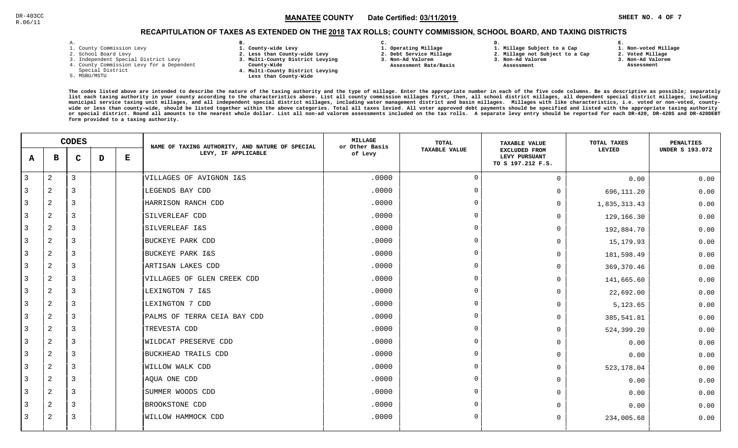## RECAPITULATION OF TAXES AS EXTENDED ON THE <u>2018</u> TAX ROLLS; COUNTY COMMISSION, SCHOOL BOARD, AND TAXING DISTRICTS

| - |   |  |  |
|---|---|--|--|
|   | ۰ |  |  |

- 1. County Commission Levy
- 2. School Board Levy
- 3. Independent Special District Levy
- 4. County Commission Levy for a Dependent
- Special District
- 5. MSBU/MSTU
- **B. 1. County-wide Levy**
- **2. Less than County-wide Levy**
- **3. Multi-County District Levying**
- **County-Wide** 
	- **4. Multi-County District Levying Less than County-Wide**
- **C. 3. Non-Ad Valorem**

**2. Debt Service Millage** 

 **Assessment Rate/Basis**

- **1. Operating Millage**
- **1. Millage Subject to a Cap**

**D.** 

- **2. Millage not Subject to a Cap3. Non-Ad Valorem**
	-
- - **Assessment**

**2. Voted Millage3. Non-Ad Valorem**

**E.**

- **Assessment**
	-

**1. Non-voted Millage**

|                | <b>CODES</b>   |                |   | NAME OF TAXING AUTHORITY, AND NATURE OF SPECIAL | MILLAGE<br>or Other Basis   | TOTAL   | <b>TAXABLE VALUE</b> | TOTAL TAXES                                                | <b>PENALTIES</b> |                        |
|----------------|----------------|----------------|---|-------------------------------------------------|-----------------------------|---------|----------------------|------------------------------------------------------------|------------------|------------------------|
| A              | в              | $\mathbf C$    | D | Е                                               | LEVY, IF APPLICABLE         | of Levy | <b>TAXABLE VALUE</b> | <b>EXCLUDED FROM</b><br>LEVY PURSUANT<br>TO S 197.212 F.S. | LEVIED           | <b>UNDER S 193.072</b> |
| $\overline{3}$ | 2              | 3              |   |                                                 | VILLAGES OF AVIGNON I&S     | .0000   | $\overline{0}$       | $\Omega$                                                   | 0.00             | 0.00                   |
| 3              | $\overline{2}$ | 3              |   |                                                 | LEGENDS BAY CDD             | .0000   | $\Omega$             | 0                                                          | 696,111.20       | 0.00                   |
| 3              | $\overline{a}$ | 3              |   |                                                 | HARRISON RANCH CDD          | .0000   | $\Omega$             | $\Omega$                                                   | 1,835,313.43     | 0.00                   |
| 3              | 2              | 3              |   |                                                 | SILVERLEAF CDD              | .0000   | $\Omega$             | $\Omega$                                                   | 129,166.30       | 0.00                   |
| 3              | 2              | 3              |   |                                                 | SILVERLEAF I&S              | .0000   | $\Omega$             | $\Omega$                                                   | 192,884.70       | 0.00                   |
| $\overline{3}$ | $\overline{2}$ | $\overline{3}$ |   |                                                 | BUCKEYE PARK CDD            | .0000   | $\Omega$             | $\Omega$                                                   | 15,179.93        | 0.00                   |
| 3              | $\overline{a}$ | 3              |   |                                                 | <b>BUCKEYE PARK I&amp;S</b> | .0000   | $\cap$               | $\Omega$                                                   | 181,598.49       | 0.00                   |
| 3              | 2              | 3              |   |                                                 | ARTISAN LAKES CDD           | .0000   | $\Omega$             | $\Omega$                                                   | 369,370.46       | 0.00                   |
| 3              | $\overline{a}$ | 3              |   |                                                 | VILLAGES OF GLEN CREEK CDD  | .0000   | $\Omega$             | $\Omega$                                                   | 141,665.60       | 0.00                   |
| 3              | $\overline{a}$ | 3              |   |                                                 | LEXINGTON 7 I&S             | .0000   | $\cap$               | $\Omega$                                                   | 22,692.00        | 0.00                   |
| 3              | 2              | 3              |   |                                                 | LEXINGTON 7 CDD             | .0000   | $\Omega$             | $\Omega$                                                   | 5,123.65         | 0.00                   |
| $\mathbf{3}$   | 2              | 3              |   |                                                 | PALMS OF TERRA CEIA BAY CDD | .0000   | $\Omega$             | $\Omega$                                                   | 385,541.81       | 0.00                   |
| 3              | $\overline{a}$ | 3              |   |                                                 | TREVESTA CDD                | .0000   | $\Omega$             | $\Omega$                                                   | 524,399.20       | 0.00                   |
| 3              | $\overline{a}$ | 3              |   |                                                 | WILDCAT PRESERVE CDD        | .0000   | $\Omega$             | $\Omega$                                                   | 0.00             | 0.00                   |
| 3              | $\overline{2}$ | 3              |   |                                                 | BUCKHEAD TRAILS CDD         | .0000   | $\Omega$             | $\Omega$                                                   | 0.00             | 0.00                   |
| 3              | $\overline{a}$ | 3              |   |                                                 | WILLOW WALK CDD             | .0000   | $\Omega$             | $\Omega$                                                   | 523,178.04       | 0.00                   |
| 3              | 2              | 3              |   |                                                 | AQUA ONE CDD                | .0000   | $\Omega$             | $\Omega$                                                   | 0.00             | 0.00                   |
| 3              | 2              | $\overline{3}$ |   |                                                 | SUMMER WOODS CDD            | .0000   | $\Omega$             | $\Omega$                                                   | 0.00             | 0.00                   |
| 3              | $\overline{2}$ | $\overline{3}$ |   |                                                 | BROOKSTONE CDD              | .0000   | $\Omega$             | 0                                                          | 0.00             | 0.00                   |
| 3              | 2              | 3              |   |                                                 | WILLOW HAMMOCK CDD          | .0000   | $\Omega$             | $\Omega$                                                   | 234,005.68       | 0.00                   |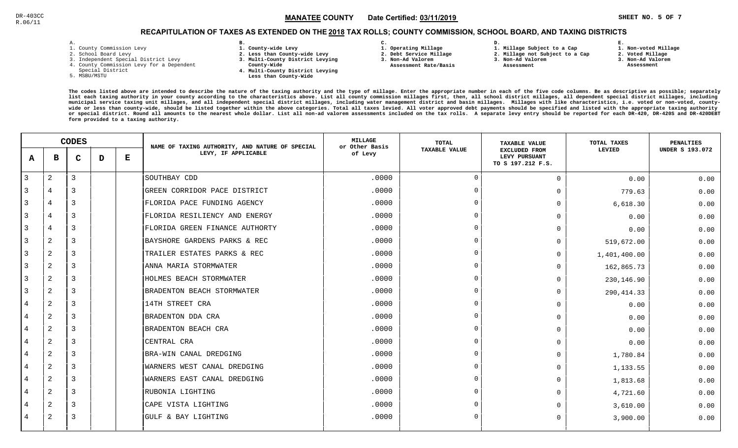**1. Non-voted Millage**

## RECAPITULATION OF TAXES AS EXTENDED ON THE <u>2018</u> TAX ROLLS; COUNTY COMMISSION, SCHOOL BOARD, AND TAXING DISTRICTS

| ۰ |  |  |
|---|--|--|

- 1. County Commission Levy
- 2. School Board Levy
- 3. Independent Special District Levy
- 4. County Commission Levy for a Dependent
- Special District
- 5. MSBU/MSTU
- **B. 1. County-wide Levy**
- **2. Less than County-wide Levy**
- **3. Multi-County District Levying**
- **County-Wide** 
	- **4. Multi-County District Levying Less than County-Wide**
- **C.**
- **1. Operating Millage**
- **2. Debt Service Millage 3. Non-Ad Valorem**
- **Assessment Rate/Basis**
- **2. Millage not Subject to a Cap3. Non-Ad Valorem**

**D.** 

 **Assessment** 

**1. Millage Subject to a Cap**

**2. Voted Millage3. Non-Ad Valorem**

**E.**

 **Assessment**

|                | <b>CODES</b>   |   |   | NAME OF TAXING AUTHORITY, AND NATURE OF SPECIAL | <b>MILLAGE</b><br>or Other Basis | <b>TOTAL</b> | <b>TAXABLE VALUE</b> | TOTAL TAXES                                                | <b>PENALTIES</b> |                        |
|----------------|----------------|---|---|-------------------------------------------------|----------------------------------|--------------|----------------------|------------------------------------------------------------|------------------|------------------------|
| A              | в              | C | D | Е                                               | LEVY, IF APPLICABLE              | of Levy      | <b>TAXABLE VALUE</b> | <b>EXCLUDED FROM</b><br>LEVY PURSUANT<br>TO S 197.212 F.S. | LEVIED           | <b>UNDER S 193.072</b> |
| 3              | $\overline{c}$ | 3 |   |                                                 | SOUTHBAY CDD                     | .0000        | $\Omega$             | $\mathbf 0$                                                | 0.00             | 0.00                   |
| 3              | 4              | 3 |   |                                                 | GREEN CORRIDOR PACE DISTRICT     | .0000        | $\cap$               | $\Omega$                                                   | 779.63           | 0.00                   |
| 3              | 4              | 3 |   |                                                 | FLORIDA PACE FUNDING AGENCY      | .0000        |                      | $\mathbf 0$                                                | 6,618.30         | 0.00                   |
| 3              | 4              | 3 |   |                                                 | FLORIDA RESILIENCY AND ENERGY    | .0000        |                      | $\Omega$                                                   | 0.00             | 0.00                   |
| 3              | 4              | 3 |   |                                                 | FLORIDA GREEN FINANCE AUTHORTY   | .0000        |                      | $\Omega$                                                   | 0.00             | 0.00                   |
| 3              | 2              | 3 |   |                                                 | BAYSHORE GARDENS PARKS & REC     | .0000        | $\cap$               | $\Omega$                                                   | 519,672.00       | 0.00                   |
| 3              | 2              | 3 |   |                                                 | TRAILER ESTATES PARKS & REC      | .0000        | $\cap$               | $\Omega$                                                   | 1,401,400.00     | 0.00                   |
| 3              | 2              | 3 |   |                                                 | ANNA MARIA STORMWATER            | .0000        |                      | $\Omega$                                                   | 162,865.73       | 0.00                   |
| 3              | $\overline{2}$ | 3 |   |                                                 | HOLMES BEACH STORMWATER          | .0000        |                      | $\Omega$                                                   | 230,146.90       | 0.00                   |
| 3              | 2              | 3 |   |                                                 | BRADENTON BEACH STORMWATER       | .0000        |                      | $\mathbf 0$                                                | 290, 414.33      | 0.00                   |
| 4              | 2              | 3 |   |                                                 | 14TH STREET CRA                  | .0000        |                      | $\Omega$                                                   | 0.00             | 0.00                   |
| 4              | 2              | 3 |   |                                                 | BRADENTON DDA CRA                | .0000        |                      | $\Omega$                                                   | 0.00             | 0.00                   |
| 4              | 2              | 3 |   |                                                 | BRADENTON BEACH CRA              | .0000        |                      | $\Omega$                                                   | 0.00             | 0.00                   |
| 4              | 2              | 3 |   |                                                 | CENTRAL CRA                      | .0000        |                      | $\Omega$                                                   | 0.00             | 0.00                   |
| $\overline{4}$ | 2              | 3 |   |                                                 | BRA-WIN CANAL DREDGING           | .0000        |                      | $\Omega$                                                   | 1,780.84         | 0.00                   |
| 4              | $\overline{2}$ | 3 |   |                                                 | WARNERS WEST CANAL DREDGING      | .0000        |                      | $\Omega$                                                   | 1,133.55         | 0.00                   |
| 4              | 2              | 3 |   |                                                 | WARNERS EAST CANAL DREDGING      | .0000        |                      | $\Omega$                                                   | 1,813.68         | 0.00                   |
| 4              | 2              | 3 |   |                                                 | RUBONIA LIGHTING                 | .0000        |                      | $\Omega$                                                   | 4,721.60         | 0.00                   |
| 4              | 2              | 3 |   |                                                 | CAPE VISTA LIGHTING              | .0000        |                      | $\Omega$                                                   | 3,610.00         | 0.00                   |
| 4              | 2              | 3 |   |                                                 | GULF & BAY LIGHTING              | .0000        | $\Omega$             | $\Omega$                                                   | 3,900.00         | 0.00                   |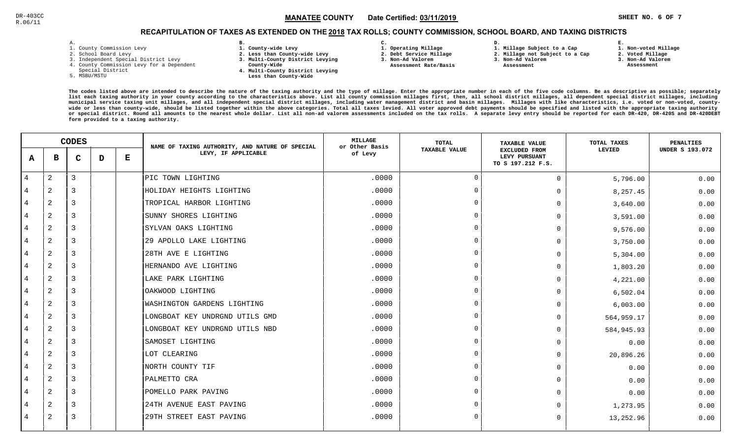#### $\mathbb{S}^3$  and  $\mathbb{S}^2$  and  $\mathbb{S}^3$  and  $\mathbb{S}^3$  and  $\mathbb{S}^3$  and  $\mathbb{S}^3$  and  $\mathbb{S}^3$  and  $\mathbb{S}^3$  and  $\mathbb{S}^3$  and  $\mathbb{S}^3$  and  $\mathbb{S}^3$  and  $\mathbb{S}^3$  and  $\mathbb{S}^3$  and  $\mathbb{S}^3$  and  $\mathbb{S}^3$  MANATEE CO

## RECAPITULATION OF TAXES AS EXTENDED ON THE <u>2018</u> TAX ROLLS; COUNTY COMMISSION, SCHOOL BOARD, AND TAXING DISTRICTS

| – | ٠ |  |  |
|---|---|--|--|

- 1. County Commission Levy
- 2. School Board Levy
- 3. Independent Special District Levy
- 4. County Commission Levy for a Dependent
- Special District
- 5. MSBU/MSTU
- **B. 1. County-wide Levy**
- **2. Less than County-wide Levy**
- **3. Multi-County District Levying**
- **County-Wide** 
	- **4. Multi-County District Levying Less than County-Wide**
- **C.**
- **1. Operating Millage**
- **2. Debt Service Millage 3. Non-Ad Valorem**
- **Assessment Rate/Basis**
- **2. Millage not Subject to a Cap**

**D.** 

**3. Non-Ad Valorem Assessment** 

**1. Millage Subject to a Cap**

- 
- **3. Non-Ad Valorem**

**E.**

**2. Voted Millage Assessment**

**1. Non-voted Millage**

|                | <b>CODES</b>   |                |   | NAME OF TAXING AUTHORITY, AND NATURE OF SPECIAL | <b>MILLAGE</b><br>or Other Basis | TOTAL   | <b>TAXABLE VALUE</b> | TOTAL TAXES                                                | PENALTIES  |                        |
|----------------|----------------|----------------|---|-------------------------------------------------|----------------------------------|---------|----------------------|------------------------------------------------------------|------------|------------------------|
| A              | в              | $\mathbf C$    | D | ${\bf E}$                                       | LEVY, IF APPLICABLE              | of Levy | <b>TAXABLE VALUE</b> | <b>EXCLUDED FROM</b><br>LEVY PURSUANT<br>TO S 197.212 F.S. | LEVIED     | <b>UNDER S 193.072</b> |
| 4              | $\mathbf{2}$   | 3              |   |                                                 | PIC TOWN LIGHTING                | .0000   | $\overline{0}$       | $\Omega$                                                   | 5,796.00   | 0.00                   |
| 4              | 2              | 3              |   |                                                 | HOLIDAY HEIGHTS LIGHTING         | .0000   | $\Omega$             | O                                                          | 8,257.45   | 0.00                   |
| 4              | 2              | 3              |   |                                                 | TROPICAL HARBOR LIGHTING         | .0000   | $\Omega$             | 0                                                          | 3,640.00   | 0.00                   |
| 4              | 2              | 3              |   |                                                 | SUNNY SHORES LIGHTING            | .0000   | $\Omega$             | U                                                          | 3,591.00   | 0.00                   |
| $\overline{4}$ | 2              | 3              |   |                                                 | SYLVAN OAKS LIGHTING             | .0000   | $\Omega$             | 0                                                          | 9,576.00   | 0.00                   |
| 4              | 2              | 3              |   |                                                 | 29 APOLLO LAKE LIGHTING          | .0000   | $\Omega$             | 0                                                          | 3,750.00   | 0.00                   |
| 4              | 2              | 3              |   |                                                 | 28TH AVE E LIGHTING              | .0000   | $\Omega$             | 0                                                          | 5,304.00   | 0.00                   |
| 4              | $\overline{a}$ | 3              |   |                                                 | HERNANDO AVE LIGHTING            | .0000   | $\Omega$             | 0                                                          | 1,803.20   | 0.00                   |
| 4              | 2              | $\overline{3}$ |   |                                                 | LAKE PARK LIGHTING               | .0000   | $\cap$               | 0                                                          | 4,221.00   | 0.00                   |
| 4              | 2              | 3              |   |                                                 | OAKWOOD LIGHTING                 | .0000   | $\Omega$             | 0                                                          | 6,502.04   | 0.00                   |
| 4              | $\mathbf{2}$   | 3              |   |                                                 | WASHINGTON GARDENS LIGHTING      | .0000   | $\Omega$             | 0                                                          | 6,003.00   | 0.00                   |
| $\overline{4}$ | 2              | $\overline{3}$ |   |                                                 | LONGBOAT KEY UNDRGND UTILS GMD   | .0000   | $\Omega$             | 0                                                          | 564,959.17 | 0.00                   |
| 4              | 2              | $\overline{3}$ |   |                                                 | LONGBOAT KEY UNDRGND UTILS NBD   | .0000   | $\Omega$             | 0                                                          | 584,945.93 | 0.00                   |
| 4              | $\overline{c}$ | 3              |   |                                                 | SAMOSET LIGHTING                 | .0000   | $\cap$               | 0                                                          | 0.00       | 0.00                   |
| 4              | 2              | $\overline{3}$ |   |                                                 | LOT CLEARING                     | .0000   | - വ                  | 0                                                          | 20,896.26  | 0.00                   |
| 4              | $\overline{2}$ | 3              |   |                                                 | NORTH COUNTY TIF                 | .0000   | $\Omega$             | <sup>n</sup>                                               | 0.00       | 0.00                   |
| 4              | 2              | 3              |   |                                                 | PALMETTO CRA                     | .0000   | $\cap$               | <sup>n</sup>                                               | 0.00       | 0.00                   |
| 4              | 2              | 3              |   |                                                 | POMELLO PARK PAVING              | .0000   | $\Omega$             | 0                                                          | 0.00       | 0.00                   |
| 4              | 2              | $\overline{3}$ |   |                                                 | 24TH AVENUE EAST PAVING          | .0000   | $\Omega$             |                                                            | 1,273.95   | 0.00                   |
| 4              | 2              | 3              |   |                                                 | 29TH STREET EAST PAVING          | .0000   | $\Omega$             | 0                                                          | 13,252.96  | 0.00                   |